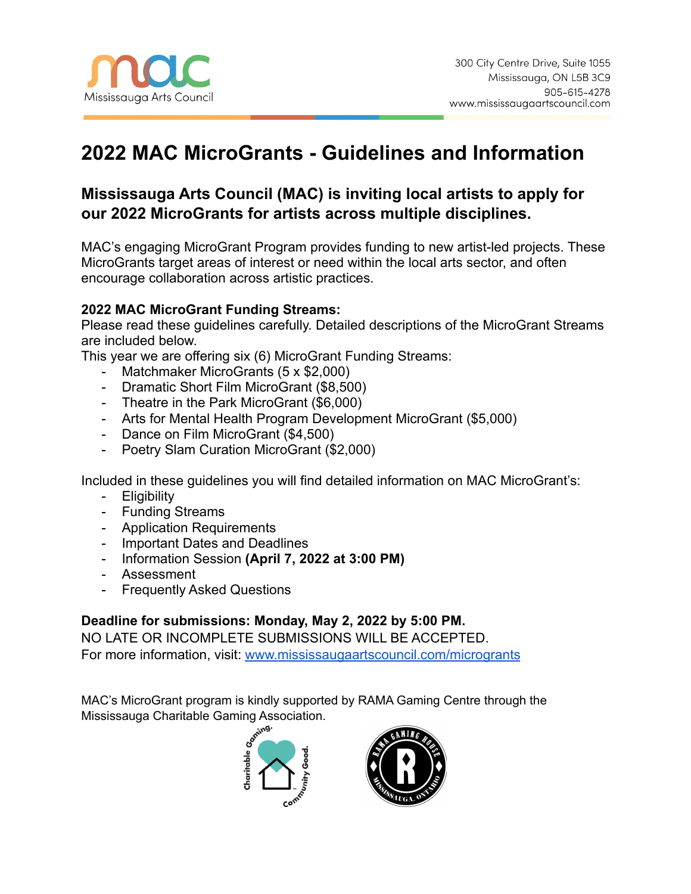# **2022 MAC MicroGrants - Guidelines and Information**

# **Mississauga Arts Council (MAC) is inviting local artists to apply for our 2022 MicroGrants for artists across multiple disciplines.**

MAC's engaging MicroGrant Program provides funding to new artist-led projects. These MicroGrants target areas of interest or need within the local arts sector, and often encourage collaboration across artistic practices.

# **2022 MAC MicroGrant Funding Streams:**

Please read these guidelines carefully. Detailed descriptions of the MicroGrant Streams are included below.

This year we are offering six (6) MicroGrant Funding Streams:

- Matchmaker MicroGrants (5 x \$2,000)
- Dramatic Short Film MicroGrant (\$8,500)
- Theatre in the Park MicroGrant (\$6,000)
- Arts for Mental Health Program Development MicroGrant (\$5,000)
- Dance on Film MicroGrant (\$4,500)
- Poetry Slam Curation MicroGrant (\$2,000)

Included in these guidelines you will find detailed information on MAC MicroGrant's:

- Eligibility
- Funding Streams
- Application Requirements
- Important Dates and Deadlines
- Information Session **(April 7, 2022 at 3:00 PM)**
- Assessment
- **Frequently Asked Questions**

# **Deadline for submissions: Monday, May 2, 2022 by 5:00 PM.**

NO LATE OR INCOMPLETE SUBMISSIONS WILL BE ACCEPTED. For more information, visit: [www.mississaugaartscouncil.com/microgrants](http://www.mississaugaartscouncil.com/microgrants)

MAC's MicroGrant program is kindly supported by RAMA Gaming Centre through the Mississauga Charitable Gaming Association.



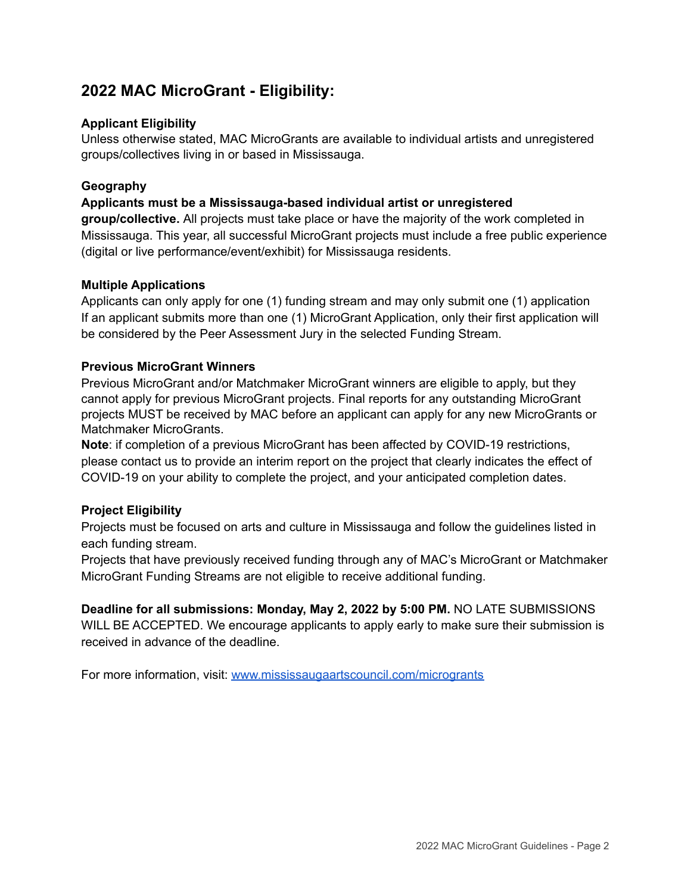# **2022 MAC MicroGrant - Eligibility:**

### **Applicant Eligibility**

Unless otherwise stated, MAC MicroGrants are available to individual artists and unregistered groups/collectives living in or based in Mississauga.

### **Geography**

### **Applicants must be a Mississauga-based individual artist or unregistered**

**group/collective.** All projects must take place or have the majority of the work completed in Mississauga. This year, all successful MicroGrant projects must include a free public experience (digital or live performance/event/exhibit) for Mississauga residents.

### **Multiple Applications**

Applicants can only apply for one (1) funding stream and may only submit one (1) application If an applicant submits more than one (1) MicroGrant Application, only their first application will be considered by the Peer Assessment Jury in the selected Funding Stream.

### **Previous MicroGrant Winners**

Previous MicroGrant and/or Matchmaker MicroGrant winners are eligible to apply, but they cannot apply for previous MicroGrant projects. Final reports for any outstanding MicroGrant projects MUST be received by MAC before an applicant can apply for any new MicroGrants or Matchmaker MicroGrants.

**Note**: if completion of a previous MicroGrant has been affected by COVID-19 restrictions, please contact us to provide an interim report on the project that clearly indicates the effect of COVID-19 on your ability to complete the project, and your anticipated completion dates.

### **Project Eligibility**

Projects must be focused on arts and culture in Mississauga and follow the guidelines listed in each funding stream.

Projects that have previously received funding through any of MAC's MicroGrant or Matchmaker MicroGrant Funding Streams are not eligible to receive additional funding.

**Deadline for all submissions: Monday, May 2, 2022 by 5:00 PM.** NO LATE SUBMISSIONS WILL BE ACCEPTED. We encourage applicants to apply early to make sure their submission is received in advance of the deadline.

For more information, visit: [www.mississaugaartscouncil.com/microgrants](http://www.mississaugaartscouncil.com/microgrants)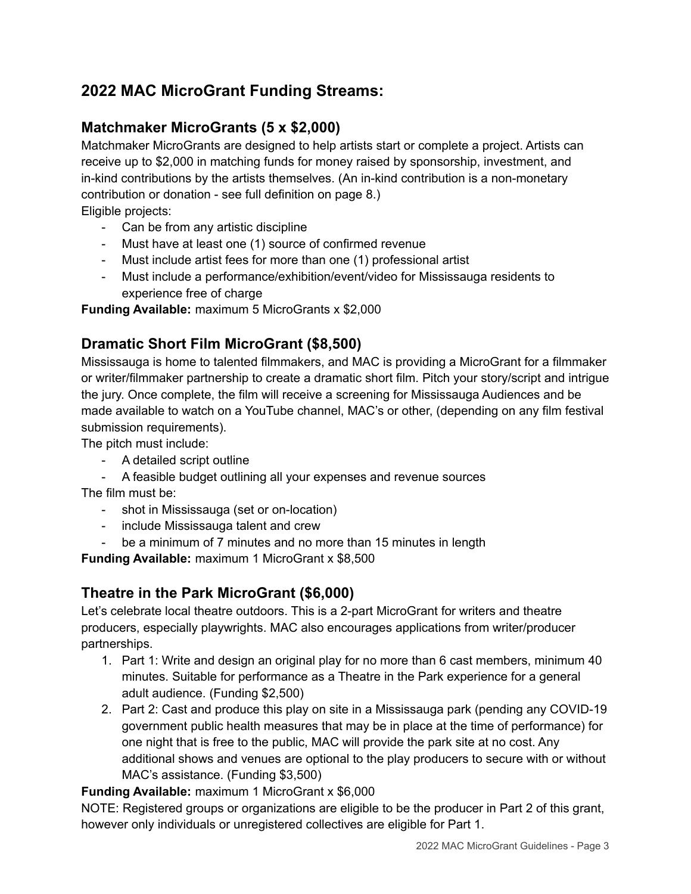# **2022 MAC MicroGrant Funding Streams:**

# **Matchmaker MicroGrants (5 x \$2,000)**

Matchmaker MicroGrants are designed to help artists start or complete a project. Artists can receive up to \$2,000 in matching funds for money raised by sponsorship, investment, and in-kind contributions by the artists themselves. (An in-kind contribution is a non-monetary contribution or donation - see full definition on page 8.) Eligible projects:

- Can be from any artistic discipline
- Must have at least one (1) source of confirmed revenue
- Must include artist fees for more than one (1) professional artist
- Must include a performance/exhibition/event/video for Mississauga residents to experience free of charge

**Funding Available:** maximum 5 MicroGrants x \$2,000

# **Dramatic Short Film MicroGrant (\$8,500)**

Mississauga is home to talented filmmakers, and MAC is providing a MicroGrant for a filmmaker or writer/filmmaker partnership to create a dramatic short film. Pitch your story/script and intrigue the jury. Once complete, the film will receive a screening for Mississauga Audiences and be made available to watch on a YouTube channel, MAC's or other, (depending on any film festival submission requirements).

The pitch must include:

- A detailed script outline
- A feasible budget outlining all your expenses and revenue sources

The film must be:

- shot in Mississauga (set or on-location)
- include Mississauga talent and crew
- be a minimum of 7 minutes and no more than 15 minutes in length

**Funding Available:** maximum 1 MicroGrant x \$8,500

# **Theatre in the Park MicroGrant (\$6,000)**

Let's celebrate local theatre outdoors. This is a 2-part MicroGrant for writers and theatre producers, especially playwrights. MAC also encourages applications from writer/producer partnerships.

- 1. Part 1: Write and design an original play for no more than 6 cast members, minimum 40 minutes. Suitable for performance as a Theatre in the Park experience for a general adult audience. (Funding \$2,500)
- 2. Part 2: Cast and produce this play on site in a Mississauga park (pending any COVID-19 government public health measures that may be in place at the time of performance) for one night that is free to the public, MAC will provide the park site at no cost. Any additional shows and venues are optional to the play producers to secure with or without MAC's assistance. (Funding \$3,500)

**Funding Available:** maximum 1 MicroGrant x \$6,000

NOTE: Registered groups or organizations are eligible to be the producer in Part 2 of this grant, however only individuals or unregistered collectives are eligible for Part 1.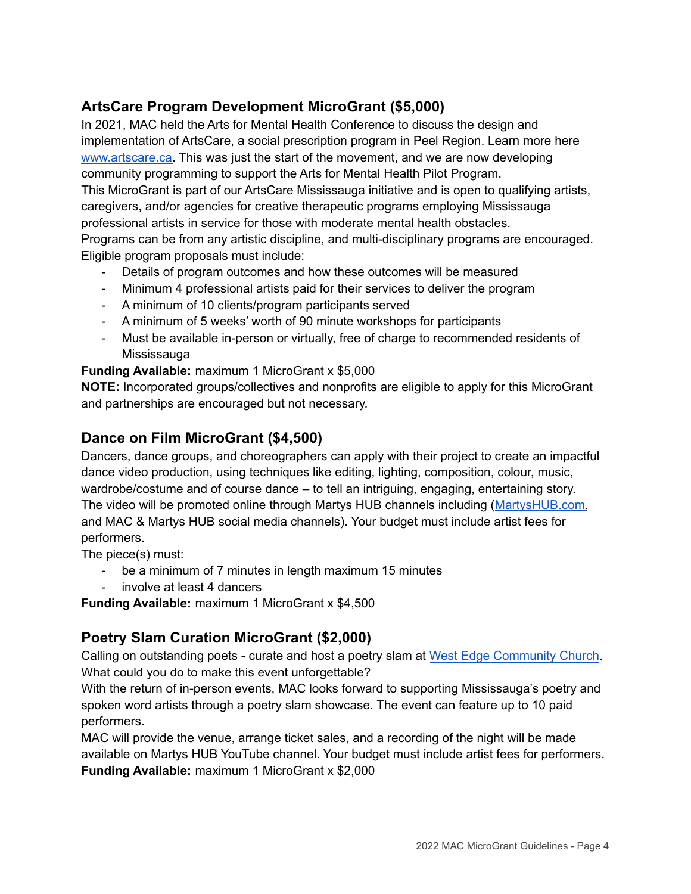# **ArtsCare Program Development MicroGrant (\$5,000)**

In 2021, MAC held the Arts for Mental Health Conference to discuss the design and implementation of ArtsCare, a social prescription program in Peel Region. Learn more here [www.artscare.ca.](http://www.artscare.ca) This was just the start of the movement, and we are now developing community programming to support the Arts for Mental Health Pilot Program. This MicroGrant is part of our ArtsCare Mississauga initiative and is open to qualifying artists, caregivers, and/or agencies for creative therapeutic programs employing Mississauga professional artists in service for those with moderate mental health obstacles.

Programs can be from any artistic discipline, and multi-disciplinary programs are encouraged. Eligible program proposals must include:

- Details of program outcomes and how these outcomes will be measured
- Minimum 4 professional artists paid for their services to deliver the program
- A minimum of 10 clients/program participants served
- A minimum of 5 weeks' worth of 90 minute workshops for participants
- Must be available in-person or virtually, free of charge to recommended residents of Mississauga

**Funding Available:** maximum 1 MicroGrant x \$5,000

**NOTE:** Incorporated groups/collectives and nonprofits are eligible to apply for this MicroGrant and partnerships are encouraged but not necessary.

# **Dance on Film MicroGrant (\$4,500)**

Dancers, dance groups, and choreographers can apply with their project to create an impactful dance video production, using techniques like editing, lighting, composition, colour, music, wardrobe/costume and of course dance – to tell an intriguing, engaging, entertaining story. The video will be promoted online through Martys HUB channels including ([MartysHUB.com,](https://www.martyshub.com/) and MAC & Martys HUB social media channels). Your budget must include artist fees for performers.

The piece(s) must:

- be a minimum of 7 minutes in length maximum 15 minutes
- involve at least 4 dancers

**Funding Available:** maximum 1 MicroGrant x \$4,500

# **Poetry Slam Curation MicroGrant (\$2,000)**

Calling on outstanding poets - curate and host a poetry slam at West Edge [Community](https://www.google.com/maps?q=west+edge+community+church&um=1&ie=UTF-8&sa=X&ved=2ahUKEwid8urvkuz2AhVSVc0KHdbrACwQ_AUoAXoECAIQAw) Church. What could you do to make this event unforgettable?

With the return of in-person events, MAC looks forward to supporting Mississauga's poetry and spoken word artists through a poetry slam showcase. The event can feature up to 10 paid performers.

MAC will provide the venue, arrange ticket sales, and a recording of the night will be made available on Martys HUB YouTube channel. Your budget must include artist fees for performers.

**Funding Available:** maximum 1 MicroGrant x \$2,000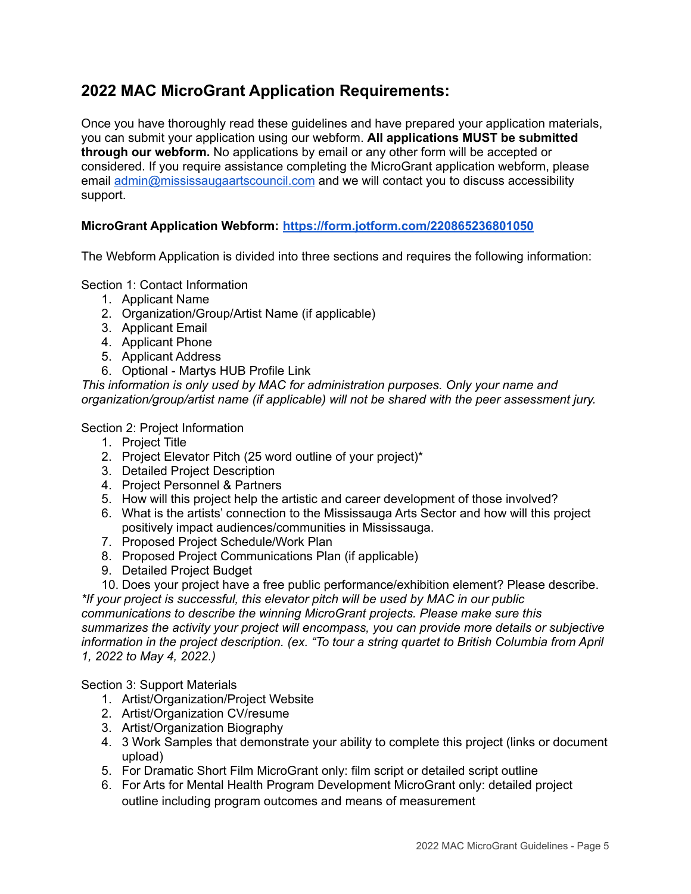# **2022 MAC MicroGrant Application Requirements:**

Once you have thoroughly read these guidelines and have prepared your application materials, you can submit your application using our webform. **All applications MUST be submitted through our webform.** No applications by email or any other form will be accepted or considered. If you require assistance completing the MicroGrant application webform, please email [admin@mississaugaartscouncil.com](mailto:admin@mississaugaartscouncil.com) and we will contact you to discuss accessibility support.

## **MicroGrant Application Webform: <https://form.jotform.com/220865236801050>**

The Webform Application is divided into three sections and requires the following information:

Section 1: Contact Information

- 1. Applicant Name
- 2. Organization/Group/Artist Name (if applicable)
- 3. Applicant Email
- 4. Applicant Phone
- 5. Applicant Address
- 6. Optional Martys HUB Profile Link

*This information is only used by MAC for administration purposes. Only your name and organization/group/artist name (if applicable) will not be shared with the peer assessment jury.*

### Section 2: Project Information

- 1. Project Title
- 2. Project Elevator Pitch (25 word outline of your project)\*
- 3. Detailed Project Description
- 4. Project Personnel & Partners
- 5. How will this project help the artistic and career development of those involved?
- 6. What is the artists' connection to the Mississauga Arts Sector and how will this project positively impact audiences/communities in Mississauga.
- 7. Proposed Project Schedule/Work Plan
- 8. Proposed Project Communications Plan (if applicable)
- 9. Detailed Project Budget
- 10. Does your project have a free public performance/exhibition element? Please describe.

*\*If your project is successful, this elevator pitch will be used by MAC in our public communications to describe the winning MicroGrant projects. Please make sure this summarizes the activity your project will encompass, you can provide more details or subjective information in the project description. (ex. "To tour a string quartet to British Columbia from April 1, 2022 to May 4, 2022.)*

### Section 3: Support Materials

- 1. Artist/Organization/Project Website
- 2. Artist/Organization CV/resume
- 3. Artist/Organization Biography
- 4. 3 Work Samples that demonstrate your ability to complete this project (links or document upload)
- 5. For Dramatic Short Film MicroGrant only: film script or detailed script outline
- 6. For Arts for Mental Health Program Development MicroGrant only: detailed project outline including program outcomes and means of measurement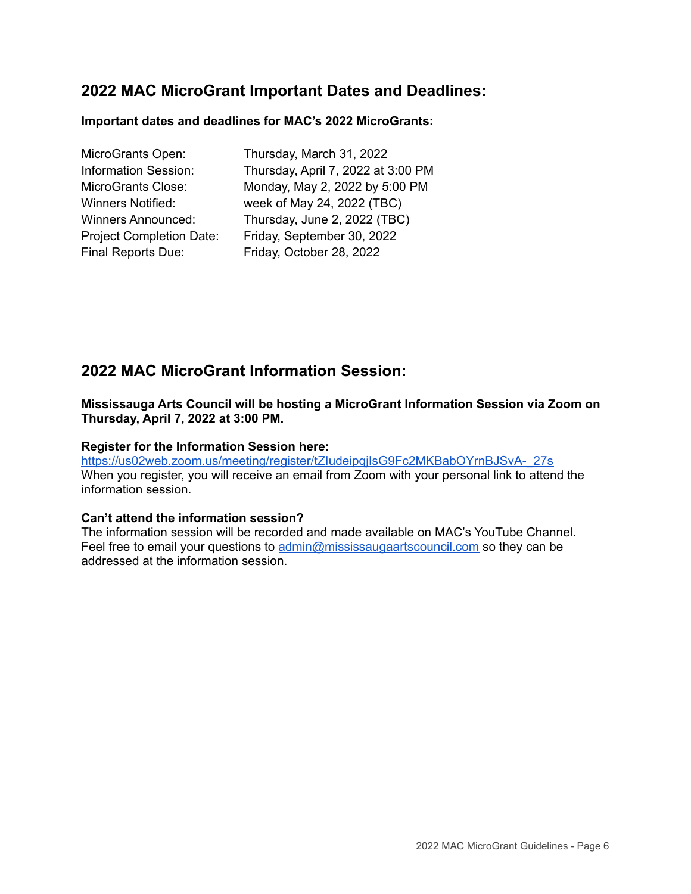# **2022 MAC MicroGrant Important Dates and Deadlines:**

### **Important dates and deadlines for MAC's 2022 MicroGrants:**

| MicroGrants Open:               | Thursday, March 31, 2022           |
|---------------------------------|------------------------------------|
| <b>Information Session:</b>     | Thursday, April 7, 2022 at 3:00 PM |
| MicroGrants Close:              | Monday, May 2, 2022 by 5:00 PM     |
| Winners Notified:               | week of May 24, 2022 (TBC)         |
| <b>Winners Announced:</b>       | Thursday, June 2, 2022 (TBC)       |
| <b>Project Completion Date:</b> | Friday, September 30, 2022         |
| Final Reports Due:              | Friday, October 28, 2022           |
|                                 |                                    |

# **2022 MAC MicroGrant Information Session:**

**Mississauga Arts Council will be hosting a MicroGrant Information Session via Zoom on Thursday, April 7, 2022 at 3:00 PM.**

#### **Register for the Information Session here:**

[https://us02web.zoom.us/meeting/register/tZIudeipqjIsG9Fc2MKBabOYrnBJSvA-\\_27s](https://us02web.zoom.us/meeting/register/tZIudeipqjIsG9Fc2MKBabOYrnBJSvA-_27s) When you register, you will receive an email from Zoom with your personal link to attend the information session.

#### **Can't attend the information session?**

The information session will be recorded and made available on MAC's YouTube Channel. Feel free to email your questions to [admin@mississaugaartscouncil.com](mailto:admin@mississaugaartscouncil.com) so they can be addressed at the information session.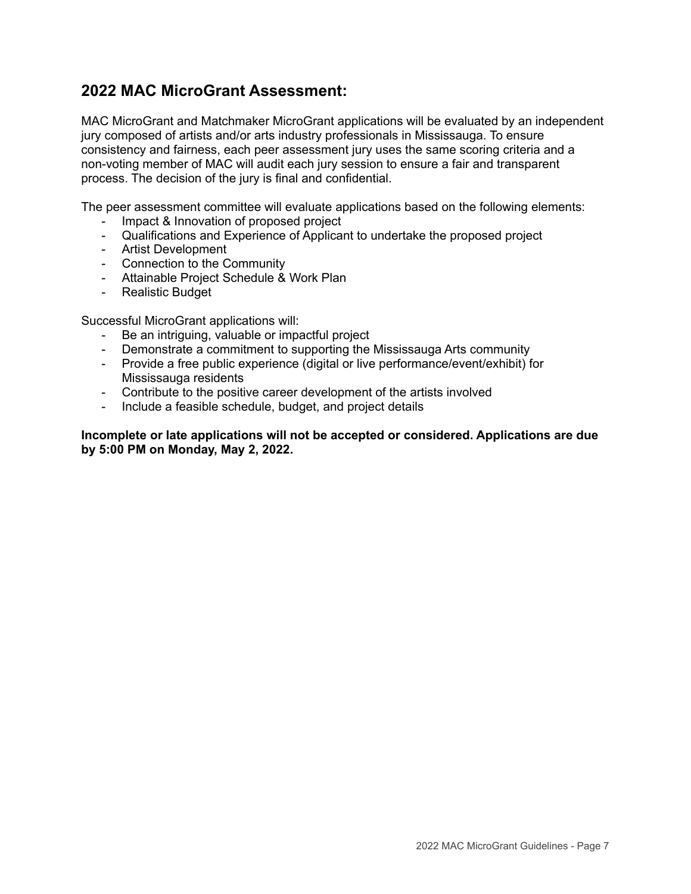# **2022 MAC MicroGrant Assessment:**

MAC MicroGrant and Matchmaker MicroGrant applications will be evaluated by an independent jury composed of artists and/or arts industry professionals in Mississauga. To ensure consistency and fairness, each peer assessment jury uses the same scoring criteria and a non-voting member of MAC will audit each jury session to ensure a fair and transparent process. The decision of the jury is final and confidential.

The peer assessment committee will evaluate applications based on the following elements:

- Impact & Innovation of proposed project
- Qualifications and Experience of Applicant to undertake the proposed project
- Artist Development
- Connection to the Community
- Attainable Project Schedule & Work Plan
- Realistic Budget

Successful MicroGrant applications will:

- Be an intriguing, valuable or impactful project
- Demonstrate a commitment to supporting the Mississauga Arts community
- Provide a free public experience (digital or live performance/event/exhibit) for Mississauga residents
- Contribute to the positive career development of the artists involved
- Include a feasible schedule, budget, and project details

**Incomplete or late applications will not be accepted or considered. Applications are due by 5:00 PM on Monday, May 2, 2022.**